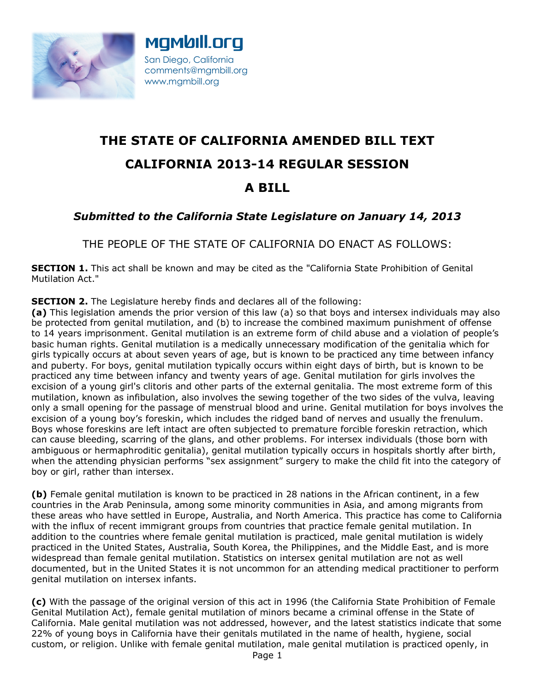



## **THE STATE OF CALIFORNIA AMENDED BILL TEXT CALIFORNIA 2013-14 REGULAR SESSION A BILL**

## *Submitted to the California State Legislature on January 14, 2013*

THE PEOPLE OF THE STATE OF CALIFORNIA DO ENACT AS FOLLOWS:

**SECTION 1.** This act shall be known and may be cited as the "California State Prohibition of Genital Mutilation Act."

**SECTION 2.** The Legislature hereby finds and declares all of the following:

**(a)** This legislation amends the prior version of this law (a) so that boys and intersex individuals may also be protected from genital mutilation, and (b) to increase the combined maximum punishment of offense to 14 years imprisonment. Genital mutilation is an extreme form of child abuse and a violation of people's basic human rights. Genital mutilation is a medically unnecessary modification of the genitalia which for girls typically occurs at about seven years of age, but is known to be practiced any time between infancy and puberty. For boys, genital mutilation typically occurs within eight days of birth, but is known to be practiced any time between infancy and twenty years of age. Genital mutilation for girls involves the excision of a young girl's clitoris and other parts of the external genitalia. The most extreme form of this mutilation, known as infibulation, also involves the sewing together of the two sides of the vulva, leaving only a small opening for the passage of menstrual blood and urine. Genital mutilation for boys involves the excision of a young boy's foreskin, which includes the ridged band of nerves and usually the frenulum. Boys whose foreskins are left intact are often subjected to premature forcible foreskin retraction, which can cause bleeding, scarring of the glans, and other problems. For intersex individuals (those born with ambiguous or hermaphroditic genitalia), genital mutilation typically occurs in hospitals shortly after birth, when the attending physician performs "sex assignment" surgery to make the child fit into the category of boy or girl, rather than intersex.

**(b)** Female genital mutilation is known to be practiced in 28 nations in the African continent, in a few countries in the Arab Peninsula, among some minority communities in Asia, and among migrants from these areas who have settled in Europe, Australia, and North America. This practice has come to California with the influx of recent immigrant groups from countries that practice female genital mutilation. In addition to the countries where female genital mutilation is practiced, male genital mutilation is widely practiced in the United States, Australia, South Korea, the Philippines, and the Middle East, and is more widespread than female genital mutilation. Statistics on intersex genital mutilation are not as well documented, but in the United States it is not uncommon for an attending medical practitioner to perform genital mutilation on intersex infants.

**(c)** With the passage of the original version of this act in 1996 (the California State Prohibition of Female Genital Mutilation Act), female genital mutilation of minors became a criminal offense in the State of California. Male genital mutilation was not addressed, however, and the latest statistics indicate that some 22% of young boys in California have their genitals mutilated in the name of health, hygiene, social custom, or religion. Unlike with female genital mutilation, male genital mutilation is practiced openly, in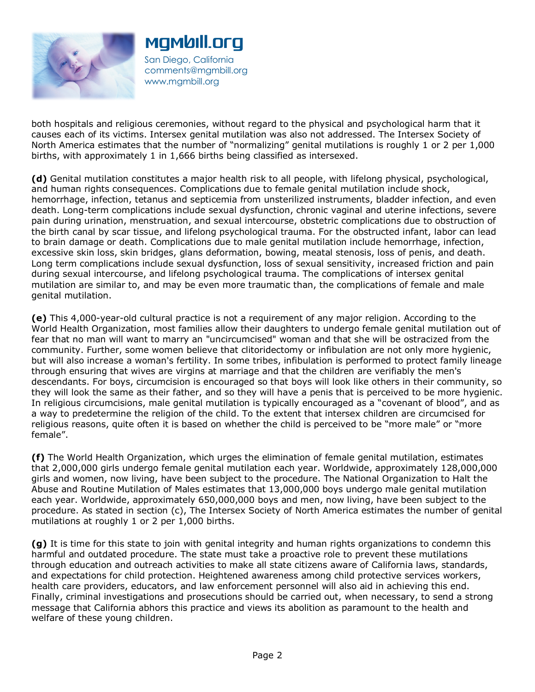

San Diego, California comments@mgmbill.org www.mgmbill.org

mgmbill.org

both hospitals and religious ceremonies, without regard to the physical and psychological harm that it causes each of its victims. Intersex genital mutilation was also not addressed. The Intersex Society of North America estimates that the number of "normalizing" genital mutilations is roughly 1 or 2 per 1,000 births, with approximately 1 in 1,666 births being classified as intersexed.

**(d)** Genital mutilation constitutes a major health risk to all people, with lifelong physical, psychological, and human rights consequences. Complications due to female genital mutilation include shock, hemorrhage, infection, tetanus and septicemia from unsterilized instruments, bladder infection, and even death. Long-term complications include sexual dysfunction, chronic vaginal and uterine infections, severe pain during urination, menstruation, and sexual intercourse, obstetric complications due to obstruction of the birth canal by scar tissue, and lifelong psychological trauma. For the obstructed infant, labor can lead to brain damage or death. Complications due to male genital mutilation include hemorrhage, infection, excessive skin loss, skin bridges, glans deformation, bowing, meatal stenosis, loss of penis, and death. Long term complications include sexual dysfunction, loss of sexual sensitivity, increased friction and pain during sexual intercourse, and lifelong psychological trauma. The complications of intersex genital mutilation are similar to, and may be even more traumatic than, the complications of female and male genital mutilation.

**(e)** This 4,000-year-old cultural practice is not a requirement of any major religion. According to the World Health Organization, most families allow their daughters to undergo female genital mutilation out of fear that no man will want to marry an "uncircumcised" woman and that she will be ostracized from the community. Further, some women believe that clitoridectomy or infibulation are not only more hygienic, but will also increase a woman's fertility. In some tribes, infibulation is performed to protect family lineage through ensuring that wives are virgins at marriage and that the children are verifiably the men's descendants. For boys, circumcision is encouraged so that boys will look like others in their community, so they will look the same as their father, and so they will have a penis that is perceived to be more hygienic. In religious circumcisions, male genital mutilation is typically encouraged as a "covenant of blood", and as a way to predetermine the religion of the child. To the extent that intersex children are circumcised for religious reasons, quite often it is based on whether the child is perceived to be "more male" or "more female".

**(f)** The World Health Organization, which urges the elimination of female genital mutilation, estimates that 2,000,000 girls undergo female genital mutilation each year. Worldwide, approximately 128,000,000 girls and women, now living, have been subject to the procedure. The National Organization to Halt the Abuse and Routine Mutilation of Males estimates that 13,000,000 boys undergo male genital mutilation each year. Worldwide, approximately 650,000,000 boys and men, now living, have been subject to the procedure. As stated in section (c), The Intersex Society of North America estimates the number of genital mutilations at roughly 1 or 2 per 1,000 births.

**(g)** It is time for this state to join with genital integrity and human rights organizations to condemn this harmful and outdated procedure. The state must take a proactive role to prevent these mutilations through education and outreach activities to make all state citizens aware of California laws, standards, and expectations for child protection. Heightened awareness among child protective services workers, health care providers, educators, and law enforcement personnel will also aid in achieving this end. Finally, criminal investigations and prosecutions should be carried out, when necessary, to send a strong message that California abhors this practice and views its abolition as paramount to the health and welfare of these young children.